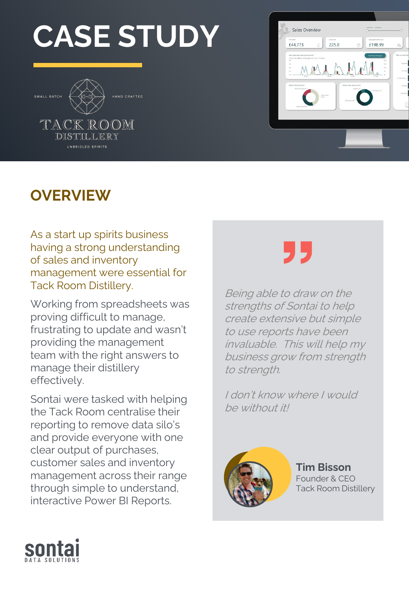# **CASE STUDY**





### **OVERVIEW**

As a start up spirits business having a strong understanding of sales and inventory management were essential for Tack Room Distillery.

Working from spreadsheets was proving difficult to manage, frustrating to update and wasn't providing the management team with the right answers to manage their distillery effectively.

Sontai were tasked with helping the Tack Room centralise their reporting to remove data silo's and provide everyone with one clear output of purchases, customer sales and inventory management across their range through simple to understand, interactive Power BI Reports.

"

Being able to draw on the strengths of Sontai to help create extensive but simple to use reports have been invaluable. This will help my business grow from strength to strength.

I don't know where I would be without it!



**Tim Bisson** Founder & CEO Tack Room Distillery